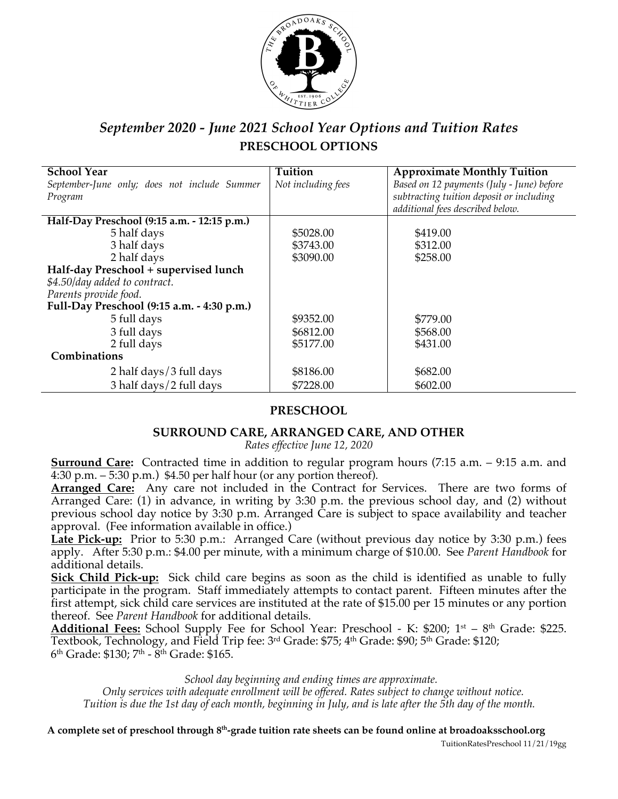

# *September 2020 - June 2021 School Year Options and Tuition Rates* **PRESCHOOL OPTIONS**

| <b>School Year</b>                           | <b>Tuition</b>     | <b>Approximate Monthly Tuition</b>        |
|----------------------------------------------|--------------------|-------------------------------------------|
| September-June only; does not include Summer | Not including fees | Based on 12 payments (July - June) before |
| Program                                      |                    | subtracting tuition deposit or including  |
|                                              |                    | additional fees described below.          |
| Half-Day Preschool (9:15 a.m. - 12:15 p.m.)  |                    |                                           |
| 5 half days                                  | \$5028.00          | \$419.00                                  |
| 3 half days                                  | \$3743.00          | \$312.00                                  |
| 2 half days                                  | \$3090.00          | \$258.00                                  |
| Half-day Preschool + supervised lunch        |                    |                                           |
| \$4.50/day added to contract.                |                    |                                           |
| Parents provide food.                        |                    |                                           |
| Full-Day Preschool (9:15 a.m. - 4:30 p.m.)   |                    |                                           |
| 5 full days                                  | \$9352.00          | \$779.00                                  |
| 3 full days                                  | \$6812.00          | \$568.00                                  |
| 2 full days                                  | \$5177.00          | \$431.00                                  |
| Combinations                                 |                    |                                           |
| 2 half days/3 full days                      | \$8186.00          | \$682.00                                  |
| 3 half days/2 full days                      | \$7228.00          | \$602.00                                  |

#### **PRESCHOOL**

#### **SURROUND CARE, ARRANGED CARE, AND OTHER**

*Rates effective June 12, 2020*

**Surround Care:** Contracted time in addition to regular program hours (7:15 a.m. – 9:15 a.m. and 4:30 p.m.  $-5:30$  p.m.) \$4.50 per half hour (or any portion thereof).

**Arranged Care:** Any care not included in the Contract for Services. There are two forms of Arranged Care: (1) in advance, in writing by 3:30 p.m. the previous school day, and (2) without previous school day notice by 3:30 p.m. Arranged Care is subject to space availability and teacher approval. (Fee information available in office.)

Late Pick-up: Prior to 5:30 p.m.: Arranged Care (without previous day notice by 3:30 p.m.) fees apply. After 5:30 p.m.: \$4.00 per minute, with a minimum charge of \$10.00. See *Parent Handbook* for additional details.

**Sick Child Pick-up:** Sick child care begins as soon as the child is identified as unable to fully participate in the program. Staff immediately attempts to contact parent. Fifteen minutes after the first attempt, sick child care services are instituted at the rate of \$15.00 per 15 minutes or any portion thereof. See *Parent Handbook* for additional details.

Additional Fees: School Supply Fee for School Year: Preschool - K: \$200; 1<sup>st</sup> – 8<sup>th</sup> Grade: \$225. Textbook, Technology, and Field Trip fee:  $3<sup>rd</sup>$  Grade: \$75;  $4<sup>th</sup>$  Grade: \$90;  $5<sup>th</sup>$  Grade: \$120;  $6<sup>th</sup>$  Grade: \$130;  $7<sup>th</sup>$  -  $8<sup>th</sup>$  Grade: \$165.

*School day beginning and ending times are approximate.*

*Only services with adequate enrollment will be offered. Rates subject to change without notice. Tuition is due the 1st day of each month, beginning in July, and is late after the 5th day of the month.*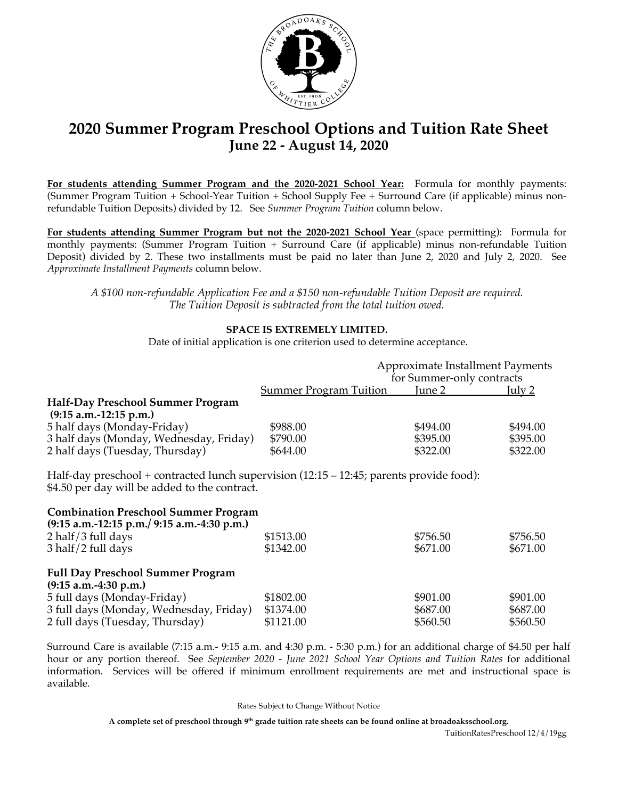

# **2020 Summer Program Preschool Options and Tuition Rate Sheet June 22 - August 14, 2020**

**For students attending Summer Program and the 2020-2021 School Year:** Formula for monthly payments: (Summer Program Tuition + School-Year Tuition + School Supply Fee + Surround Care (if applicable) minus nonrefundable Tuition Deposits) divided by 12. See *Summer Program Tuition* column below.

**For students attending Summer Program but not the 2020-2021 School Year** (space permitting): Formula for monthly payments: (Summer Program Tuition + Surround Care (if applicable) minus non-refundable Tuition Deposit) divided by 2. These two installments must be paid no later than June 2, 2020 and July 2, 2020. See *Approximate Installment Payments* column below.

*A \$100 non-refundable Application Fee and a \$150 non-refundable Tuition Deposit are required. The Tuition Deposit is subtracted from the total tuition owed.*

#### **SPACE IS EXTREMELY LIMITED.**

Date of initial application is one criterion used to determine acceptance.

|                                                                                                                                               | Approximate Installment Payments |                           |          |
|-----------------------------------------------------------------------------------------------------------------------------------------------|----------------------------------|---------------------------|----------|
|                                                                                                                                               |                                  | for Summer-only contracts |          |
|                                                                                                                                               | <b>Summer Program Tuition</b>    | June 2                    | July 2   |
| Half-Day Preschool Summer Program                                                                                                             |                                  |                           |          |
| $(9:15 a.m.-12:15 p.m.)$                                                                                                                      |                                  |                           |          |
| 5 half days (Monday-Friday)                                                                                                                   | \$988.00                         | \$494.00                  | \$494.00 |
| 3 half days (Monday, Wednesday, Friday)                                                                                                       | \$790.00                         | \$395.00                  | \$395.00 |
| 2 half days (Tuesday, Thursday)                                                                                                               | \$644.00                         | \$322.00                  | \$322.00 |
| Half-day preschool + contracted lunch supervision $(12:15 - 12:45)$ ; parents provide food):<br>\$4.50 per day will be added to the contract. |                                  |                           |          |
| <b>Combination Preschool Summer Program</b><br>$(9:15 a.m.-12:15 p.m./ 9:15 a.m.-4:30 p.m.)$                                                  |                                  |                           |          |
| 2 half/3 full days                                                                                                                            | \$1513.00                        | \$756.50                  | \$756.50 |
| 3 half/2 full days                                                                                                                            | \$1342.00                        | \$671.00                  | \$671.00 |
| <b>Full Day Preschool Summer Program</b><br>$(9:15 a.m.-4:30 p.m.)$                                                                           |                                  |                           |          |
| 5 full days (Monday-Friday)                                                                                                                   | \$1802.00                        | \$901.00                  | \$901.00 |
| 3 full days (Monday, Wednesday, Friday)                                                                                                       | \$1374.00                        | \$687.00                  | \$687.00 |
|                                                                                                                                               |                                  |                           |          |

Surround Care is available (7:15 a.m.- 9:15 a.m. and 4:30 p.m. - 5:30 p.m.) for an additional charge of \$4.50 per half hour or any portion thereof. See *September 2020 - June 2021 School Year Options and Tuition Rates* for additional information. Services will be offered if minimum enrollment requirements are met and instructional space is available.

#### Rates Subject to Change Without Notice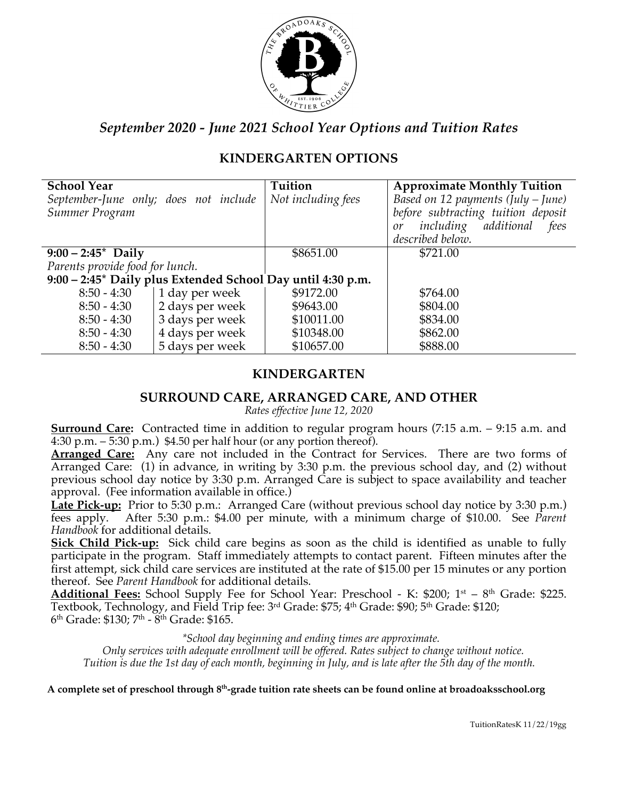

# **KINDERGARTEN OPTIONS**

| <b>School Year</b>                    |                                                             | Tuition            | <b>Approximate Monthly Tuition</b>   |
|---------------------------------------|-------------------------------------------------------------|--------------------|--------------------------------------|
| September-June only; does not include |                                                             | Not including fees | Based on 12 payments (July $-$ June) |
| Summer Program                        |                                                             |                    | before subtracting tuition deposit   |
|                                       |                                                             |                    | including additional<br>fees<br>or   |
|                                       |                                                             |                    | described below.                     |
| $9:00 - 2:45^*$ Daily                 |                                                             | \$8651.00          | \$721.00                             |
| Parents provide food for lunch.       |                                                             |                    |                                      |
|                                       | 9:00 – 2:45* Daily plus Extended School Day until 4:30 p.m. |                    |                                      |
| $8:50 - 4:30$                         | 1 day per week                                              | \$9172.00          | \$764.00                             |
| $8:50 - 4:30$                         | 2 days per week                                             | \$9643.00          | \$804.00                             |
| $8:50 - 4:30$                         | 3 days per week                                             | \$10011.00         | \$834.00                             |
| $8:50 - 4:30$                         | 4 days per week                                             | \$10348.00         | \$862.00                             |
| $8:50 - 4:30$                         | 5 days per week                                             | \$10657.00         | \$888.00                             |

#### **KINDERGARTEN**

#### **SURROUND CARE, ARRANGED CARE, AND OTHER**

*Rates effective June 12, 2020*

**Surround Care:** Contracted time in addition to regular program hours (7:15 a.m. – 9:15 a.m. and 4:30 p.m.  $-5:30$  p.m.) \$4.50 per half hour (or any portion thereof).

**Arranged Care:** Any care not included in the Contract for Services. There are two forms of Arranged Care: (1) in advance, in writing by 3:30 p.m. the previous school day, and (2) without previous school day notice by 3:30 p.m. Arranged Care is subject to space availability and teacher approval. (Fee information available in office.)

Late Pick-up: Prior to 5:30 p.m.: Arranged Care (without previous school day notice by 3:30 p.m.) fees apply. After 5:30 p.m.: \$4.00 per minute, with a minimum charge of \$10.00. See *Parent Handbook* for additional details.

**Sick Child Pick-up:** Sick child care begins as soon as the child is identified as unable to fully participate in the program. Staff immediately attempts to contact parent. Fifteen minutes after the first attempt, sick child care services are instituted at the rate of \$15.00 per 15 minutes or any portion thereof. See *Parent Handbook* for additional details.

Additional Fees: School Supply Fee for School Year: Preschool - K: \$200; 1<sup>st</sup> – 8<sup>th</sup> Grade: \$225. Textbook, Technology, and Field Trip fee: 3<sup>rd</sup> Grade: \$75; 4<sup>th</sup> Grade: \$90; 5<sup>th</sup> Grade: \$120;  $6<sup>th</sup>$  Grade: \$130;  $7<sup>th</sup>$  -  $8<sup>th</sup>$  Grade: \$165.

*\*School day beginning and ending times are approximate.*

*Only services with adequate enrollment will be offered. Rates subject to change without notice. Tuition is due the 1st day of each month, beginning in July, and is late after the 5th day of the month.*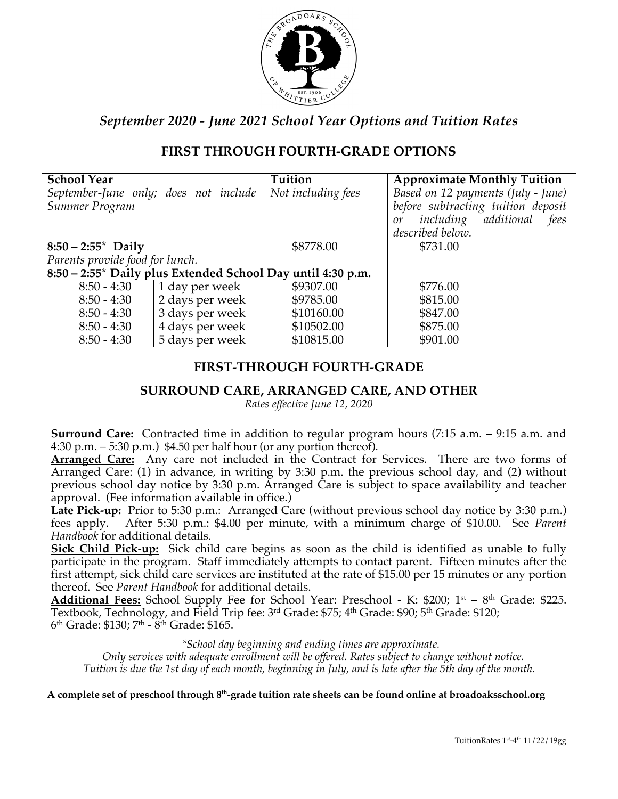

# **FIRST THROUGH FOURTH-GRADE OPTIONS**

| <b>School Year</b>                    |                                                             | Tuition            | <b>Approximate Monthly Tuition</b> |
|---------------------------------------|-------------------------------------------------------------|--------------------|------------------------------------|
| September-June only; does not include |                                                             | Not including fees | Based on 12 payments (July - June) |
| Summer Program                        |                                                             |                    | before subtracting tuition deposit |
|                                       |                                                             |                    | including additional<br>fees<br>or |
|                                       |                                                             |                    | described below.                   |
| $8:50 - 2:55^*$ Daily                 |                                                             | \$8778.00          | \$731.00                           |
| Parents provide food for lunch.       |                                                             |                    |                                    |
|                                       | 8:50 – 2:55* Daily plus Extended School Day until 4:30 p.m. |                    |                                    |
| $8:50 - 4:30$                         | 1 day per week                                              | \$9307.00          | \$776.00                           |
| $8:50 - 4:30$                         | 2 days per week                                             | \$9785.00          | \$815.00                           |
| $8:50 - 4:30$                         | 3 days per week                                             | \$10160.00         | \$847.00                           |
| $8:50 - 4:30$                         | 4 days per week                                             | \$10502.00         | \$875.00                           |
| $8:50 - 4:30$                         | 5 days per week                                             | \$10815.00         | \$901.00                           |

#### **FIRST-THROUGH FOURTH-GRADE**

#### **SURROUND CARE, ARRANGED CARE, AND OTHER**

*Rates effective June 12, 2020*

**Surround Care:** Contracted time in addition to regular program hours (7:15 a.m. – 9:15 a.m. and 4:30 p.m.  $-5:30$  p.m.) \$4.50 per half hour (or any portion thereof).

**Arranged Care:** Any care not included in the Contract for Services. There are two forms of Arranged Care: (1) in advance, in writing by 3:30 p.m. the previous school day, and (2) without previous school day notice by 3:30 p.m. Arranged Care is subject to space availability and teacher approval. (Fee information available in office.)

**Late Pick-up:** Prior to 5:30 p.m.: Arranged Care (without previous school day notice by 3:30 p.m.) fees apply. After 5:30 p.m.: \$4.00 per minute, with a minimum charge of \$10.00. See *Parent Handbook* for additional details.

**Sick Child Pick-up:** Sick child care begins as soon as the child is identified as unable to fully participate in the program. Staff immediately attempts to contact parent. Fifteen minutes after the first attempt, sick child care services are instituted at the rate of \$15.00 per 15 minutes or any portion thereof. See *Parent Handbook* for additional details.

Additional Fees: School Supply Fee for School Year: Preschool - K: \$200; 1<sup>st</sup> – 8<sup>th</sup> Grade: \$225. Textbook, Technology, and Field Trip fee:  $3<sup>rd</sup>$  Grade: \$75;  $4<sup>th</sup>$  Grade: \$90;  $5<sup>th</sup>$  Grade: \$120;  $6<sup>th</sup>$  Grade: \$130;  $7<sup>th</sup>$  -  $8<sup>th</sup>$  Grade: \$165.

*\*School day beginning and ending times are approximate.*

*Only services with adequate enrollment will be offered. Rates subject to change without notice. Tuition is due the 1st day of each month, beginning in July, and is late after the 5th day of the month.*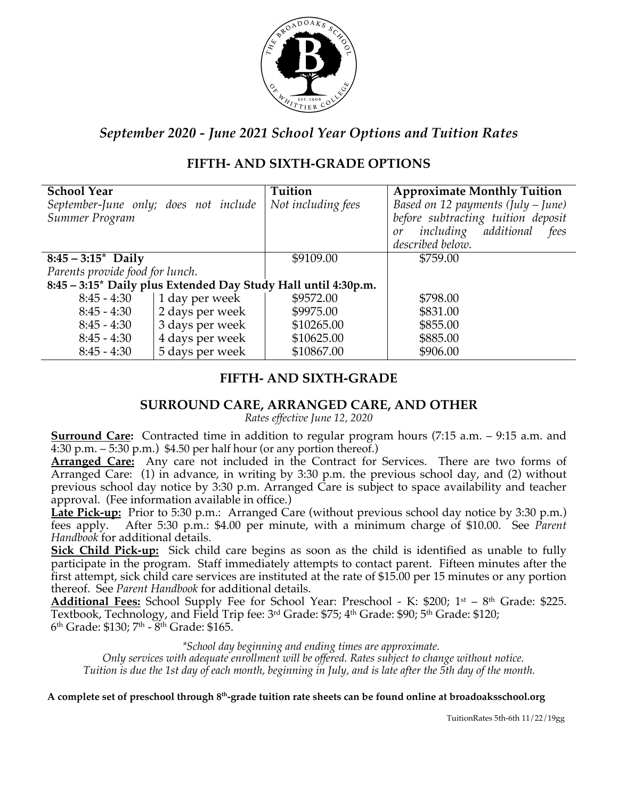

# **FIFTH- AND SIXTH-GRADE OPTIONS**

| <b>School Year</b>                    |                 | Tuition                                                        | <b>Approximate Monthly Tuition</b>   |
|---------------------------------------|-----------------|----------------------------------------------------------------|--------------------------------------|
| September-June only; does not include |                 | Not including fees                                             | Based on 12 payments (July $-$ June) |
| Summer Program                        |                 |                                                                | before subtracting tuition deposit   |
|                                       |                 |                                                                | including additional<br>fees<br>or   |
|                                       |                 |                                                                | described below.                     |
| $8:45 - 3:15^*$ Daily                 |                 | \$9109.00                                                      | \$759.00                             |
| Parents provide food for lunch.       |                 |                                                                |                                      |
|                                       |                 | 8:45 - 3:15* Daily plus Extended Day Study Hall until 4:30p.m. |                                      |
| $8:45 - 4:30$                         | 1 day per week  | \$9572.00                                                      | \$798.00                             |
| $8:45 - 4:30$                         | 2 days per week | \$9975.00                                                      | \$831.00                             |
| $8:45 - 4:30$                         | 3 days per week | \$10265.00                                                     | \$855.00                             |
| $8:45 - 4:30$                         | 4 days per week | \$10625.00                                                     | \$885.00                             |
| $8:45 - 4:30$                         | 5 days per week | \$10867.00                                                     | \$906.00                             |

# **FIFTH- AND SIXTH-GRADE**

#### **SURROUND CARE, ARRANGED CARE, AND OTHER**

*Rates effective June 12, 2020*

**Surround Care:** Contracted time in addition to regular program hours (7:15 a.m. – 9:15 a.m. and 4:30 p.m.  $-5:30$  p.m.) \$4.50 per half hour (or any portion thereof.)

**Arranged Care:** Any care not included in the Contract for Services. There are two forms of Arranged Care: (1) in advance, in writing by 3:30 p.m. the previous school day, and (2) without previous school day notice by 3:30 p.m. Arranged Care is subject to space availability and teacher approval. (Fee information available in office.)

Late Pick-up: Prior to 5:30 p.m.: Arranged Care (without previous school day notice by 3:30 p.m.) fees apply. After 5:30 p.m.: \$4.00 per minute, with a minimum charge of \$10.00. See *Parent Handbook* for additional details.

**Sick Child Pick-up:** Sick child care begins as soon as the child is identified as unable to fully participate in the program. Staff immediately attempts to contact parent. Fifteen minutes after the first attempt, sick child care services are instituted at the rate of \$15.00 per 15 minutes or any portion thereof. See *Parent Handbook* for additional details.

Additional Fees: School Supply Fee for School Year: Preschool - K: \$200; 1<sup>st</sup> – 8<sup>th</sup> Grade: \$225. Textbook, Technology, and Field Trip fee:  $3<sup>rd</sup>$  Grade: \$75;  $4<sup>th</sup>$  Grade: \$90;  $5<sup>th</sup>$  Grade: \$120;  $6<sup>th</sup>$  Grade: \$130;  $7<sup>th</sup>$  -  $8<sup>th</sup>$  Grade: \$165.

*\*School day beginning and ending times are approximate.*

*Only services with adequate enrollment will be offered. Rates subject to change without notice. Tuition is due the 1st day of each month, beginning in July, and is late after the 5th day of the month.*

**A complete set of preschool through 8th-grade tuition rate sheets can be found online at broadoaksschool.org**

TuitionRates 5th-6th 11/22/19gg